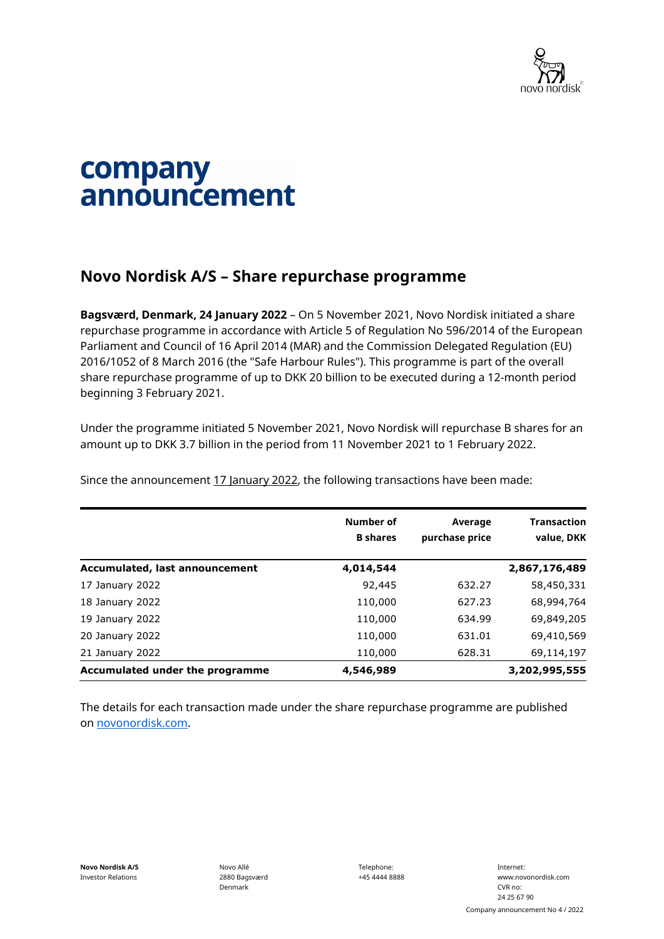

## company announcement

## **Novo Nordisk A/S – Share repurchase programme**

**Bagsværd, Denmark, 24 January 2022** – On 5 November 2021, Novo Nordisk initiated a share repurchase programme in accordance with Article 5 of Regulation No 596/2014 of the European Parliament and Council of 16 April 2014 (MAR) and the Commission Delegated Regulation (EU) 2016/1052 of 8 March 2016 (the "Safe Harbour Rules"). This programme is part of the overall share repurchase programme of up to DKK 20 billion to be executed during a 12-month period beginning 3 February 2021.

Under the programme initiated 5 November 2021, Novo Nordisk will repurchase B shares for an amount up to DKK 3.7 billion in the period from 11 November 2021 to 1 February 2022.

Since the announcement 17 January 2022, the following transactions have been made:

|                                 | Number of<br><b>B</b> shares | Average<br>purchase price | <b>Transaction</b><br>value, DKK |
|---------------------------------|------------------------------|---------------------------|----------------------------------|
| Accumulated, last announcement  | 4,014,544                    |                           | 2,867,176,489                    |
| 17 January 2022                 | 92,445                       | 632.27                    | 58,450,331                       |
| 18 January 2022                 | 110,000                      | 627.23                    | 68,994,764                       |
| 19 January 2022                 | 110,000                      | 634.99                    | 69,849,205                       |
| 20 January 2022                 | 110,000                      | 631.01                    | 69,410,569                       |
| 21 January 2022                 | 110,000                      | 628.31                    | 69,114,197                       |
| Accumulated under the programme | 4,546,989                    |                           | 3,202,995,555                    |

The details for each transaction made under the share repurchase programme are published on [novonordisk.com.](https://www.novonordisk.com/news-and-media/news-and-ir-materials.html)